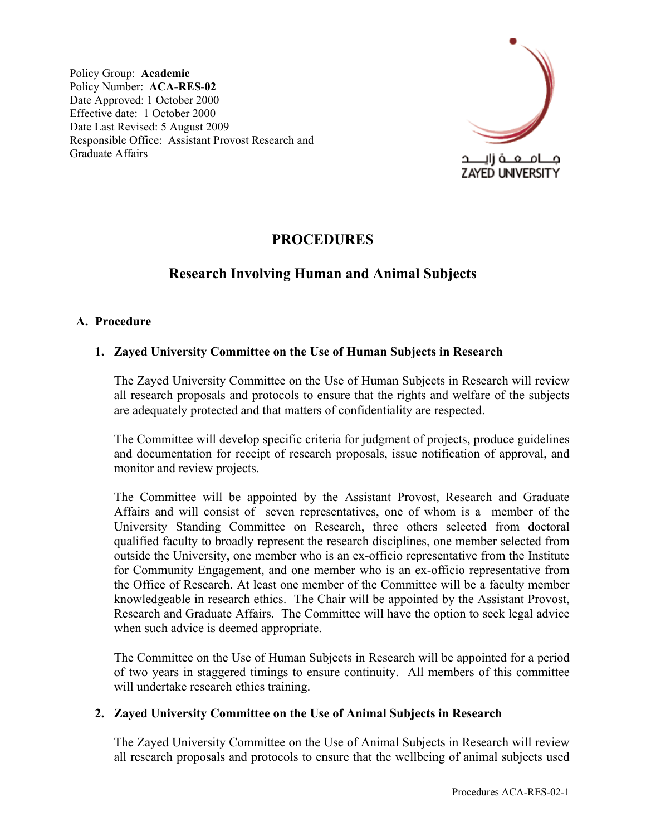Policy Group: **Academic**  Policy Number: **ACA-RES-02**  Date Approved: 1 October 2000 Effective date: 1 October 2000 Date Last Revised: 5 August 2009 Responsible Office: Assistant Provost Research and Graduate Affairs



# **PROCEDURES**

## **Research Involving Human and Animal Subjects**

## **A. Procedure**

## **1. Zayed University Committee on the Use of Human Subjects in Research**

The Zayed University Committee on the Use of Human Subjects in Research will review all research proposals and protocols to ensure that the rights and welfare of the subjects are adequately protected and that matters of confidentiality are respected.

The Committee will develop specific criteria for judgment of projects, produce guidelines and documentation for receipt of research proposals, issue notification of approval, and monitor and review projects.

The Committee will be appointed by the Assistant Provost, Research and Graduate Affairs and will consist of seven representatives, one of whom is a member of the University Standing Committee on Research, three others selected from doctoral qualified faculty to broadly represent the research disciplines, one member selected from outside the University, one member who is an ex-officio representative from the Institute for Community Engagement, and one member who is an ex-officio representative from the Office of Research. At least one member of the Committee will be a faculty member knowledgeable in research ethics. The Chair will be appointed by the Assistant Provost, Research and Graduate Affairs. The Committee will have the option to seek legal advice when such advice is deemed appropriate.

The Committee on the Use of Human Subjects in Research will be appointed for a period of two years in staggered timings to ensure continuity. All members of this committee will undertake research ethics training.

#### **2. Zayed University Committee on the Use of Animal Subjects in Research**

The Zayed University Committee on the Use of Animal Subjects in Research will review all research proposals and protocols to ensure that the wellbeing of animal subjects used